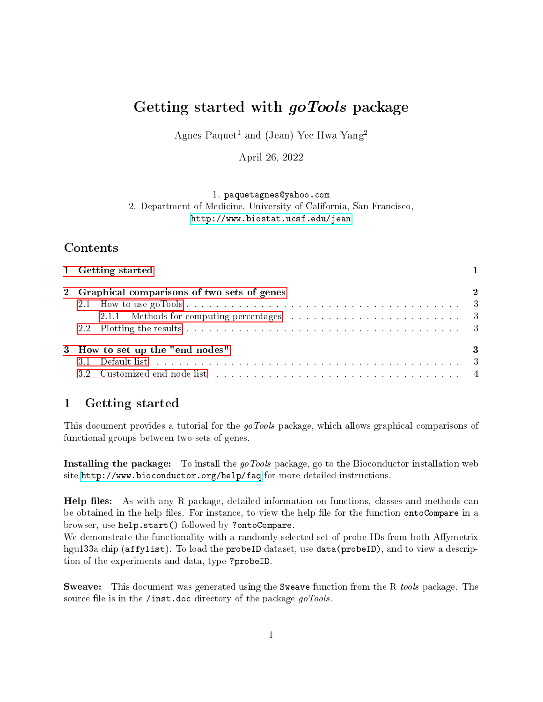# Getting started with *goTools* package

Agnes Paquet<sup>1</sup> and (Jean) Yee Hwa Yang<sup>2</sup>

April 26, 2022

1. paquetagnes@yahoo.com 2. Department of Medicine, University of California, San Francisco, <http://www.biostat.ucsf.edu/jean>

## Contents

| 1 Getting started                                                                                                                                                                                                              |          |
|--------------------------------------------------------------------------------------------------------------------------------------------------------------------------------------------------------------------------------|----------|
| 2 Graphical comparisons of two sets of genes                                                                                                                                                                                   | $\bf{2}$ |
|                                                                                                                                                                                                                                |          |
|                                                                                                                                                                                                                                |          |
|                                                                                                                                                                                                                                |          |
| 3 How to set up the "end nodes"                                                                                                                                                                                                | -3       |
| 3.1 Default list with a subsequence of the series of the series and series are series as a series of the series of the series of the series of the series of the series of the series of the series of the series of the serie |          |
| 3.2 Customized end node list resources in the service contract to the service of the service of the service of the service of the service of the service of the service of the service of the service of the service of the se |          |

## <span id="page-0-0"></span>1 Getting started

This document provides a tutorial for the goTools package, which allows graphical comparisons of functional groups between two sets of genes.

Installing the package: To install the goTools package, go to the Bioconductor installation web site <http://www.bioconductor.org/help/faq> for more detailed instructions.

**Help files:** As with any R package, detailed information on functions, classes and methods can be obtained in the help files. For instance, to view the help file for the function ontoCompare in a browser, use help.start() followed by ?ontoCompare.

We demonstrate the functionality with a randomly selected set of probe IDs from both Affymetrix hgu133a chip (affylist). To load the probeID dataset, use data(probeID), and to view a description of the experiments and data, type ?probeID.

Sweave: This document was generated using the Sweave function from the R tools package. The source file is in the /inst.doc directory of the package goTools.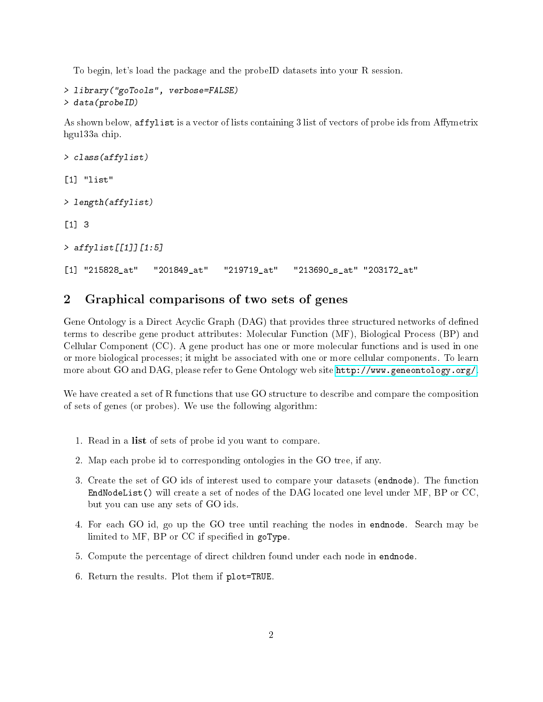To begin, let's load the package and the probeID datasets into your R session.

```
> library("goTools", verbose=FALSE)
> data(probeID)
```
As shown below, affylist is a vector of lists containing 3 list of vectors of probe ids from Affymetrix hgu133a chip.

```
> class(affylist)
[1] "list"
> length(affylist)
[1] 3
> affylist[[1]][1:5]
[1] "215828_at" "201849_at" "219719_at" "213690_s_at" "203172_at"
```
### <span id="page-1-0"></span>2 Graphical comparisons of two sets of genes

Gene Ontology is a Direct Acyclic Graph (DAG) that provides three structured networks of defined terms to describe gene product attributes: Molecular Function (MF), Biological Process (BP) and Cellular Component (CC). A gene product has one or more molecular functions and is used in one or more biological processes; it might be associated with one or more cellular components. To learn more about GO and DAG, please refer to Gene Ontology web site [http://www.geneontology.org/.](http://www.geneontology.org/)

We have created a set of R functions that use GO structure to describe and compare the composition of sets of genes (or probes). We use the following algorithm:

- 1. Read in a list of sets of probe id you want to compare.
- 2. Map each probe id to corresponding ontologies in the GO tree, if any.
- 3. Create the set of GO ids of interest used to compare your datasets (endnode). The function EndNodeList() will create a set of nodes of the DAG located one level under MF, BP or CC, but you can use any sets of GO ids.
- 4. For each GO id, go up the GO tree until reaching the nodes in endnode. Search may be limited to MF, BP or CC if specified in goType.
- 5. Compute the percentage of direct children found under each node in endnode.
- 6. Return the results. Plot them if plot=TRUE.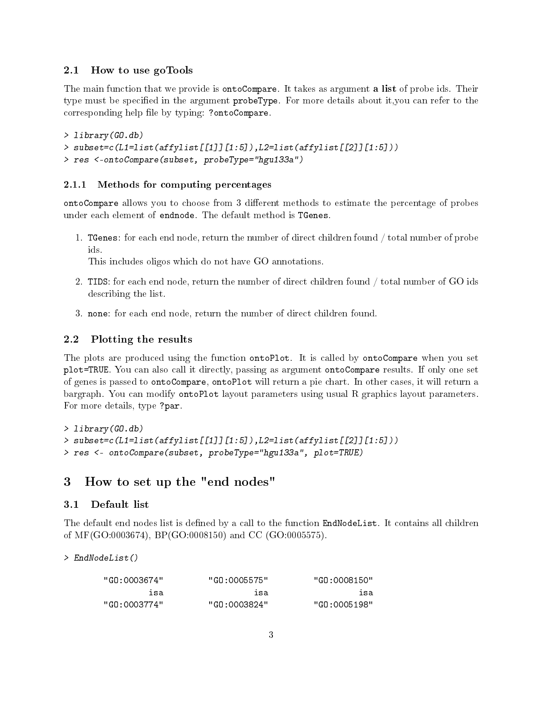#### <span id="page-2-0"></span>2.1 How to use goTools

The main function that we provide is ontoCompare. It takes as argument a list of probe ids. Their type must be specified in the argument probeType. For more details about it, you can refer to the corresponding help file by typing: ?ontoCompare.

```
> library(GO.db)
> subset=c(L1=list(affylist[[1]][1:5]),L2=list(affylist[[2]][1:5]))
> res <-ontoCompare(subset, probeType="hgu133a")
```
#### <span id="page-2-1"></span>2.1.1 Methods for computing percentages

ontoCompare allows you to choose from 3 different methods to estimate the percentage of probes under each element of endnode. The default method is TGenes.

1. TGenes: for each end node, return the number of direct children found / total number of probe ids.

This includes oligos which do not have GO annotations.

- 2. TIDS: for each end node, return the number of direct children found / total number of GO ids describing the list.
- 3. none: for each end node, return the number of direct children found.

#### <span id="page-2-2"></span>2.2 Plotting the results

The plots are produced using the function ontoPlot. It is called by ontoCompare when you set plot=TRUE. You can also call it directly, passing as argument ontoCompare results. If only one set of genes is passed to ontoCompare, ontoPlot will return a pie chart. In other cases, it will return a bargraph. You can modify ontoPlot layout parameters using usual R graphics layout parameters. For more details, type ?par.

```
> library(GO.db)
> subset=c(L1=list(affylist[[1]][1:5]),L2=list(affylist[[2]][1:5]))
> res <- ontoCompare(subset, probeType="hgu133a", plot=TRUE)
```
### <span id="page-2-3"></span>3 How to set up the "end nodes"

#### <span id="page-2-4"></span>3.1 Default list

The default end nodes list is defined by a call to the function EndNodeList. It contains all children of MF(GO:0003674), BP(GO:0008150) and CC (GO:0005575).

> EndNodeList()

| "GO:0008150" | "GO:0005575" | "GO:0003674" |
|--------------|--------------|--------------|
| isa          | ว่รอ         | isa          |
| "GO:0005198" | "GO:0003824" | "GO:0003774" |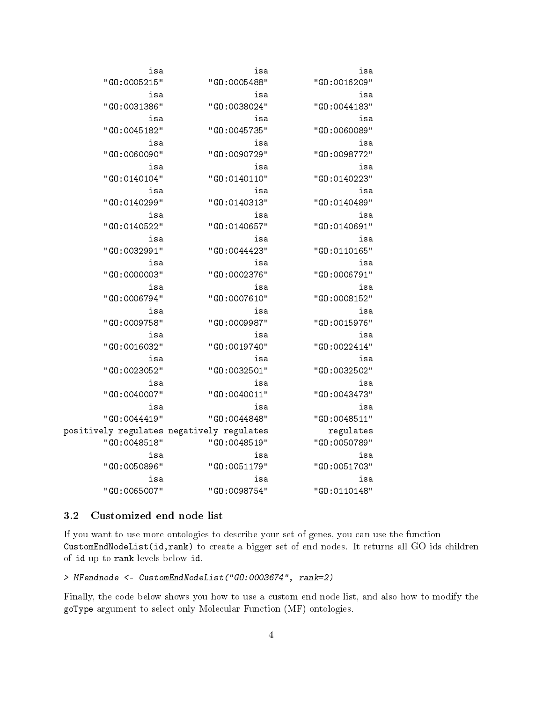| isa          | isa          | isa                                       |
|--------------|--------------|-------------------------------------------|
| "GO:0016209" | "GO:0005488" | "GO:0005215"                              |
| isa          | isa          | isa                                       |
| "GO:0044183" | "GO:0038024" | "GO:0031386"                              |
| isa          | isa          | isa                                       |
| "GO:0060089" | "GO:0045735" | "GO:0045182"                              |
| isa          | isa          | isa                                       |
| "GO:0098772" | "GO:0090729" | "GO:0060090"                              |
| isa          | isa          | isa                                       |
| "GO:0140223" | "GO:0140110" | "GO:0140104"                              |
| isa          | isa          | isa                                       |
| "GO:0140489" | "GO:0140313" | "GO:0140299"                              |
| isa          | isa          | isa                                       |
| "GO:0140691" | "GO:0140657" | "GO:0140522"                              |
| isa          | isa          | isa                                       |
| "GO:0110165" | "GO:0044423" | "GO:0032991"                              |
| isa          | isa          | isa                                       |
| "GO:0006791" | "GO:0002376" | "GO:0000003"                              |
| isa          | isa          | isa                                       |
| "GO:0008152" | "GO:0007610" | "GO:0006794"                              |
| isa          | isa          | isa                                       |
| "GO:0015976" | "GO:0009987" | "GO:0009758"                              |
| isa          | isa          | isa                                       |
| "GO:0022414" | "GO:0019740" | "GO:0016032"                              |
| isa          | isa          | isa                                       |
| "GO:0032502" | "GO:0032501" | "GO:0023052"                              |
| isa          | isa          | isa                                       |
| "GO:0043473" | "GO:0040011" | "GO:0040007"                              |
| isa          | isa          | isa                                       |
| "GO:0048511" | "GO:0044848" | "GO:0044419"                              |
| regulates    |              | positively regulates negatively regulates |
| "GO:0050789" | "GO:0048519" | "GO:0048518"                              |
| isa          | isa          | isa                                       |
| "GO:0051703" | "GO:0051179" | "GO:0050896"                              |
| isa          | isa          | isa                                       |
| "GO:0110148" | "GO:0098754" | "GO:0065007"                              |

#### <span id="page-3-0"></span>3.2 Customized end node list

If you want to use more ontologies to describe your set of genes, you can use the function CustomEndNodeList(id,rank) to create a bigger set of end nodes. It returns all GO ids children of id up to rank levels below id.

> MFendnode <- CustomEndNodeList("GO:0003674", rank=2)

Finally, the code below shows you how to use a custom end node list, and also how to modify the goType argument to select only Molecular Function (MF) ontologies.